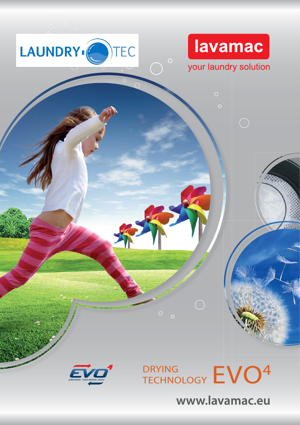



 $\overline{O}$ 

your laundry solution

## **TECHNOLOGY** DRYING<br>TECHNOLOGY EVO<sup>4</sup>

 $\bigcirc$ 

 $\overline{O}$ 

www.lavamac.eu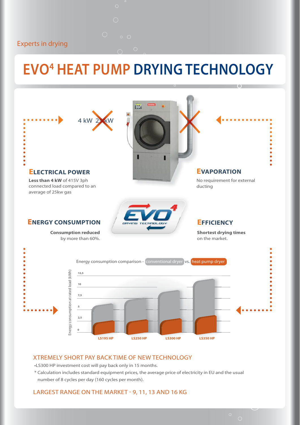#### Experts in drying

# **EVO4 HEAT PUMP DRYING TECHNOLOGY**



#### XTREMELY SHORT PAY BACK TIME OF NEW TECHNOLOGY

- •LS300 HP investment cost will pay back only in 15 months.
- \* Calculation includes standard equipment prices, the average price of electricity in EU and the usual number of 8 cycles per day (160 cycles per month).

#### LARGEST RANGE ON THE MARKET - 9, 11, 13 AND 16 KG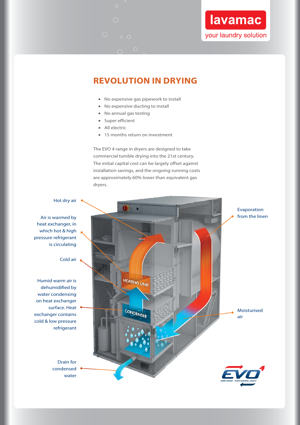

### **REVOLUTION IN DRYING**

- No expensive gas pipework to install
- No expensive ducting to install
- No annual gas testing
- Super efficient
- All electric
- 15 months return on investment

The EVO 4 range in dryers are designed to take commercial tumble drying into the 21st century. The initial capital cost can be largely offset against installation savings, and the ongoing running costs are approximately 60% lower than equivalent gas dryers.